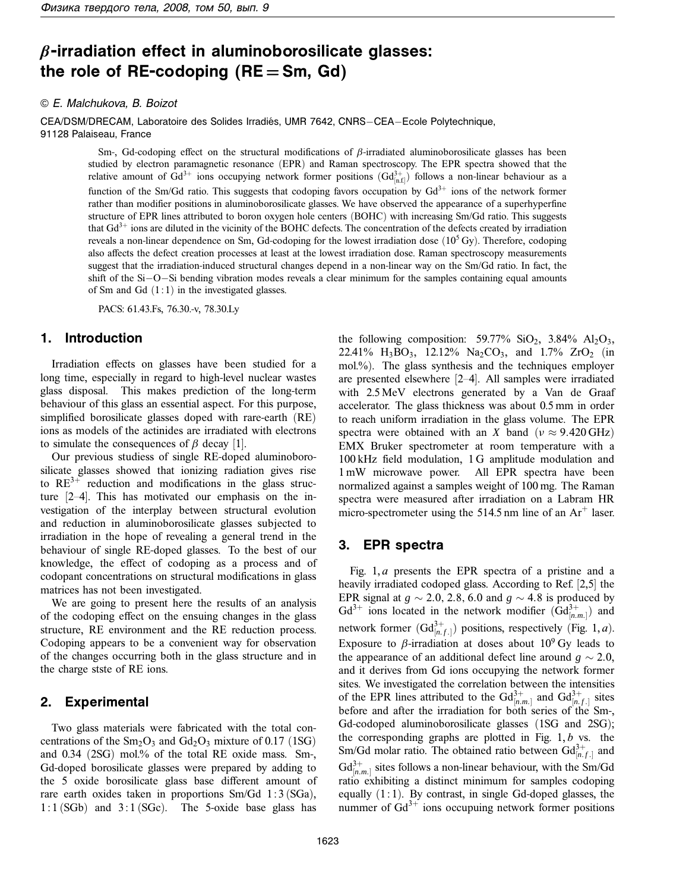# *β***-irradiation effect in aluminoborosilicate glasses:** the role of  $RE$ -codoping  $(RE = Sm, Gd)$

#### © E. Malchukova, B. Boizot

CEA/DSM/DRECAM, Laboratoire des Solides Irradiés, UMR 7642, CNRS-CEA-Ecole Polytechnique, 91128 Palaiseau, France

> Sm-, Gd-codoping effect on the structural modifications of *β*-irradiated aluminoborosilicate glasses has been studied by electron paramagnetic resonance (EPR) and Raman spectroscopy. The EPR spectra showed that the relative amount of Gd<sup>3+</sup> ions occupying network former positions  $(\text{Gd}^{3+}_{[n.f]})$  follows a non-linear behaviour as a function of the Sm/Gd ratio. This suggests that codoping favors occupation by  $Gd^{3+}$  ions of the network former rather than modifier positions in aluminoborosilicate glasses. We have observed the appearance of a superhyperfine structure of EPR lines attributed to boron oxygen hole centers (BOHC) with increasing Sm/Gd ratio. This suggests that  $Gd^{3+}$  ions are diluted in the vicinity of the BOHC defects. The concentration of the defects created by irradiation reveals a non-linear dependence on Sm, Gd-codoping for the lowest irradiation dose  $(10<sup>5</sup> Gy)$ . Therefore, codoping also affects the defect creation processes at least at the lowest irradiation dose. Raman spectroscopy measurements suggest that the irradiation-induced structural changes depend in a non-linear way on the Sm/Gd ratio. In fact, the shift of the Si−O−Si bending vibration modes reveals a clear minimum for the samples containing equal amounts of Sm and Gd  $(1:1)$  in the investigated glasses.

PACS: 61.43.Fs, 76.30.-v, 78.30.Ly

#### **1. Introduction**

Irradiation effects on glasses have been studied for a long time, especially in regard to high-level nuclear wastes glass disposal. This makes prediction of the long-term behaviour of this glass an essential aspect. For this purpose, simplified borosilicate glasses doped with rare-earth (RE) ions as models of the actinides are irradiated with electrons to simulate the consequences of  $\beta$  decay [1].

Our previous studiess of single RE-doped aluminoborosilicate glasses showed that ionizing radiation gives rise to  $RE^{3+}$  reduction and modifications in the glass structure [2–4]. This has motivated our emphasis on the investigation of the interplay between structural evolution and reduction in aluminoborosilicate glasses subjected to irradiation in the hope of revealing a general trend in the behaviour of single RE-doped glasses. To the best of our knowledge, the effect of codoping as a process and of codopant concentrations on structural modifications in glass matrices has not been investigated.

We are going to present here the results of an analysis of the codoping effect on the ensuing changes in the glass structure, RE environment and the RE reduction process. Codoping appears to be a convenient way for observation of the changes occurring both in the glass structure and in the charge stste of RE ions.

### **2. Experimental**

Two glass materials were fabricated with the total concentrations of the  $Sm_2O_3$  and  $Gd_2O_3$  mixture of 0.17 (1SG) and 0.34 (2SG) mol.% of the total RE oxide mass. Sm-, Gd-doped borosilicate glasses were prepared by adding to the 5 oxide borosilicate glass base different amount of rare earth oxides taken in proportions Sm/Gd 1:3 (SGa),  $1:1$  (SGb) and  $3:1$  (SGc). The 5-oxide base glass has

the following composition: 59.77% SiO<sub>2</sub>, 3.84% Al<sub>2</sub>O<sub>3</sub>, 22.41%  $H_3BO_3$ , 12.12%  $Na_2CO_3$ , and 1.7%  $ZrO_2$  (in mol.%). The glass synthesis and the techniques employer are presented elsewhere [2–4]. All samples were irradiated with 2.5 MeV electrons generated by a Van de Graaf accelerator. The glass thickness was about 0.5 mm in order to reach uniform irradiation in the glass volume. The EPR spectra were obtained with an *X* band ( $\nu \approx 9.420 \text{ GHz}$ ) EMX Bruker spectrometer at room temperature with a 100 kHz field modulation, 1 G amplitude modulation and 1 mW microwave power. All EPR spectra have been normalized against a samples weight of 100 mg. The Raman spectra were measured after irradiation on a Labram HR micro-spectrometer using the 514.5 nm line of an  $Ar^+$  laser.

## **3. EPR spectra**

Fig. 1, *a* presents the EPR spectra of a pristine and a heavily irradiated codoped glass. According to Ref. [2,5] the EPR signal at  $g \sim 2.0$ , 2.8*,* 6.0 and  $g \sim 4.8$  is produced by  $Gd^{3+}$  ions located in the network modifier  $(Gd_{[n,m]}^3)$  and network former  $(\text{Gd}^{3+}_{[n,f_.]})$  positions, respectively (Fig. 1, *a*). Exposure to  $\beta$ -irradiation at doses about  $10^9$  Gy leads to the appearance of an additional defect line around  $g \sim 2.0$ , and it derives from Gd ions occupying the network former sites. We investigated the correlation between the intensities of the EPR lines attributed to the  $Gd_{[n,m]}^{3+}$  and  $Gd_{[n,f]}^{3+}$  sites before and after the irradiation for both series of the Sm-, Gd-codoped aluminoborosilicate glasses (1SG and 2SG); the corresponding graphs are plotted in Fig. 1, *b* vs. the Sm/Gd molar ratio. The obtained ratio between  $Gd_{[n,f]}^{3+}$  and  $Gd_{[n,m]}^{3+}$  sites follows a non-linear behaviour, with the Sm/Gd ratio exhibiting a distinct minimum for samples codoping equally (1:1). By contrast, in single Gd-doped glasses, the nummer of  $Gd^{3+}$  ions occupuing network former positions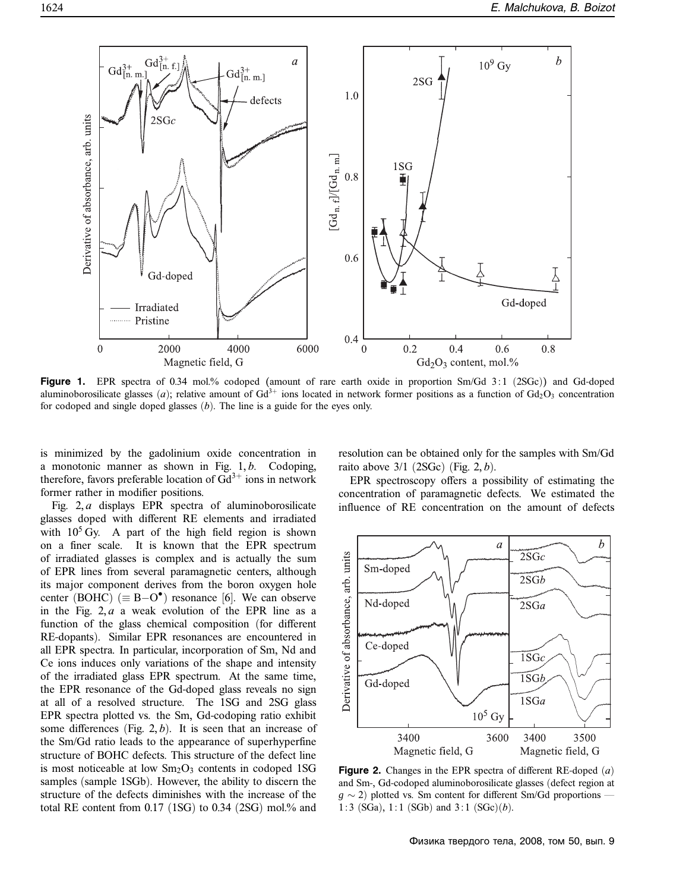

**Figure 1.** EPR spectra of 0.34 mol.% codoped **(**amount of rare earth oxide in proportion Sm/Gd 3 : 1 (2SGc)**)** and Gd-doped aluminoborosilicate glasses (*a*); relative amount of Gd<sup>3+</sup> ions located in network former positions as a function of Gd<sub>2</sub>O<sub>3</sub> concentration for codoped and single doped glasses (*b*). The line is a guide for the eyes only.

is minimized by the gadolinium oxide concentration in a monotonic manner as shown in Fig. 1, *b*. Codoping, therefore, favors preferable location of  $Gd^{3+}$  ions in network former rather in modifier positions.

Fig. 2, *a* displays EPR spectra of aluminoborosilicate glasses doped with different RE elements and irradiated with  $10^5$  Gy. A part of the high field region is shown on a finer scale. It is known that the EPR spectrum of irradiated glasses is complex and is actually the sum of EPR lines from several paramagnetic centers, although its major component derives from the boron oxygen hole center (BOHC) ( $\equiv$  B-O<sup>•</sup>) resonance [6]. We can observe in the Fig. 2, *a* a weak evolution of the EPR line as a function of the glass chemical composition (for different RE-dopants). Similar EPR resonances are encountered in all EPR spectra. In particular, incorporation of Sm, Nd and Ce ions induces only variations of the shape and intensity of the irradiated glass EPR spectrum. At the same time, the EPR resonance of the Gd-doped glass reveals no sign at all of a resolved structure. The 1SG and 2SG glass EPR spectra plotted vs. the Sm, Gd-codoping ratio exhibit some differences (Fig. 2, *b*). It is seen that an increase of the Sm/Gd ratio leads to the appearance of superhyperfine structure of BOHC defects. This structure of the defect line is most noticeable at low  $Sm<sub>2</sub>O<sub>3</sub>$  contents in codoped 1SG samples (sample 1SGb). However, the ability to discern the structure of the defects diminishes with the increase of the total RE content from 0.17 (1SG) to 0.34 (2SG) mol.% and resolution can be obtained only for the samples with Sm/Gd raito above 3/1 (2SGc) (Fig. 2, *b*).

EPR spectroscopy offers a possibility of estimating the concentration of paramagnetic defects. We estimated the influence of RE concentration on the amount of defects



**Figure 2.** Changes in the EPR spectra of different RE-doped (*a*) and Sm-, Gd-codoped aluminoborosilicate glasses (defect region at  $g \sim 2$ ) plotted vs. Sm content for different Sm/Gd proportions 1:3 (SGa), 1:1 (SGb) and 3 : 1 (SGc)(*b*).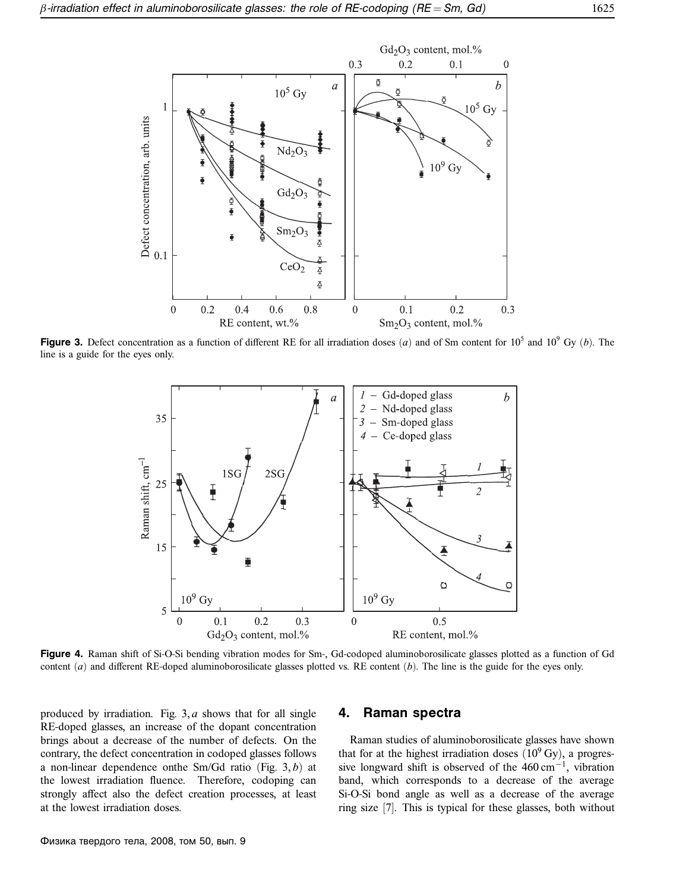

**Figure 3.** Defect concentration as a function of different RE for all irradiation doses (*a*) and of Sm content for  $10^5$  and  $10^9$  Gy (*b*). The line is a guide for the eyes only.



**Figure 4.** Raman shift of Si-O-Si bending vibration modes for Sm-, Gd-codoped aluminoborosilicate glasses plotted as a function of Gd content (*a*) and different RE-doped aluminoborosilicate glasses plotted vs. RE content (*b*). The line is the guide for the eyes only.

produced by irradiation. Fig. 3, *a* shows that for all single RE-doped glasses, an increase of the dopant concentration brings about a decrease of the number of defects. On the contrary, the defect concentration in codoped glasses follows a non-linear dependence onthe Sm/Gd ratio (Fig. 3, *b*) at the lowest irradiation fluence. Therefore, codoping can strongly affect also the defect creation processes, at least at the lowest irradiation doses.

#### **4. Raman spectra**

Raman studies of aluminoborosilicate glasses have shown that for at the highest irradiation doses  $(10^9 \text{ Gy})$ , a progressive longward shift is observed of the 460 cm−1, vibration band, which corresponds to a decrease of the average Si-O-Si bond angle as well as a decrease of the average ring size [7]. This is typical for these glasses, both without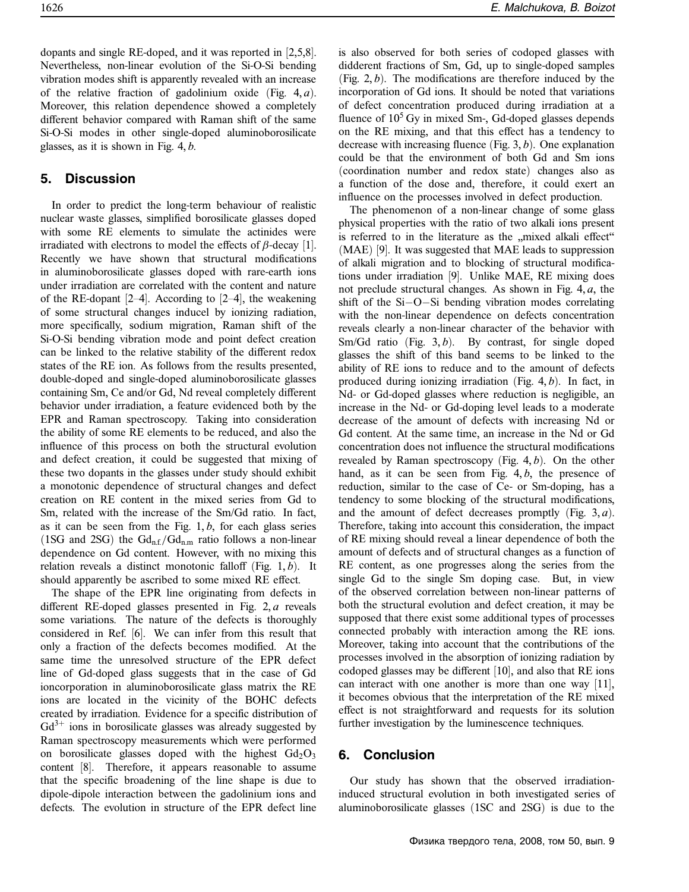dopants and single RE-doped, and it was reported in [2,5,8]. Nevertheless, non-linear evolution of the Si-O-Si bending vibration modes shift is apparently revealed with an increase of the relative fraction of gadolinium oxide (Fig. 4, *a*). Moreover, this relation dependence showed a completely different behavior compared with Raman shift of the same Si-O-Si modes in other single-doped aluminoborosilicate glasses, as it is shown in Fig. 4, *b*.

# **5. Discussion**

In order to predict the long-term behaviour of realistic nuclear waste glasses, simplified borosilicate glasses doped with some RE elements to simulate the actinides were irradiated with electrons to model the effects of *β*-decay [1]. Recently we have shown that structural modifications in aluminoborosilicate glasses doped with rare-earth ions under irradiation are correlated with the content and nature of the RE-dopant [2–4]. According to [2–4], the weakening of some structural changes inducel by ionizing radiation, more specifically, sodium migration, Raman shift of the Si-O-Si bending vibration mode and point defect creation can be linked to the relative stability of the different redox states of the RE ion. As follows from the results presented, double-doped and single-doped aluminoborosilicate glasses containing Sm, Ce and/or Gd, Nd reveal completely different behavior under irradiation, a feature evidenced both by the EPR and Raman spectroscopy. Taking into consideration the ability of some RE elements to be reduced, and also the influence of this process on both the structural evolution and defect creation, it could be suggested that mixing of these two dopants in the glasses under study should exhibit a monotonic dependence of structural changes and defect creation on RE content in the mixed series from Gd to Sm, related with the increase of the Sm/Gd ratio. In fact, as it can be seen from the Fig. 1, *b*, for each glass series (1SG and 2SG) the  $Gd_{n,f}/Gd_{n,m}$  ratio follows a non-linear dependence on Gd content. However, with no mixing this relation reveals a distinct monotonic falloff (Fig. 1, *b*). It should apparently be ascribed to some mixed RE effect.

The shape of the EPR line originating from defects in different RE-doped glasses presented in Fig. 2, *a* reveals some variations. The nature of the defects is thoroughly considered in Ref. [6]. We can infer from this result that only a fraction of the defects becomes modified. At the same time the unresolved structure of the EPR defect line of Gd-doped glass suggests that in the case of Gd ioncorporation in aluminoborosilicate glass matrix the RE ions are located in the vicinity of the BOHC defects created by irradiation. Evidence for a specific distribution of  $Gd^{3+}$  ions in borosilicate glasses was already suggested by Raman spectroscopy measurements which were performed on borosilicate glasses doped with the highest  $Gd_2O_3$ content [8]. Therefore, it appears reasonable to assume that the specific broadening of the line shape is due to dipole-dipole interaction between the gadolinium ions and defects. The evolution in structure of the EPR defect line

is also observed for both series of codoped glasses with didderent fractions of Sm, Gd, up to single-doped samples (Fig. 2, *b*). The modifications are therefore induced by the incorporation of Gd ions. It should be noted that variations of defect concentration produced during irradiation at a fluence of  $10<sup>5</sup>$  Gy in mixed Sm-, Gd-doped glasses depends on the RE mixing, and that this effect has a tendency to decrease with increasing fluence (Fig. 3, *b*). One explanation could be that the environment of both Gd and Sm ions (coordination number and redox state) changes also as a function of the dose and, therefore, it could exert an influence on the processes involved in defect production.

The phenomenon of a non-linear change of some glass physical properties with the ratio of two alkali ions present is referred to in the literature as the "mixed alkali effect"<br> $(MAP)$  [0] It was suggested that  $MAP$  loods to suppression (MAE) [9]. It was suggested that MAE leads to suppression of alkali migration and to blocking of structural modifications under irradiation [9]. Unlike MAE, RE mixing does not preclude structural changes. As shown in Fig. 4, *a*, the shift of the Si−O−Si bending vibration modes correlating with the non-linear dependence on defects concentration reveals clearly a non-linear character of the behavior with Sm/Gd ratio (Fig. 3, b). By contrast, for single doped glasses the shift of this band seems to be linked to the ability of RE ions to reduce and to the amount of defects produced during ionizing irradiation (Fig. 4, *b*). In fact, in Nd- or Gd-doped glasses where reduction is negligible, an increase in the Nd- or Gd-doping level leads to a moderate decrease of the amount of defects with increasing Nd or Gd content. At the same time, an increase in the Nd or Gd concentration does not influence the structural modifications revealed by Raman spectroscopy (Fig. 4, *b*). On the other hand, as it can be seen from Fig. 4, *b*, the presence of reduction, similar to the case of Ce- or Sm-doping, has a tendency to some blocking of the structural modifications, and the amount of defect decreases promptly (Fig. 3, *a*). Therefore, taking into account this consideration, the impact of RE mixing should reveal a linear dependence of both the amount of defects and of structural changes as a function of RE content, as one progresses along the series from the single Gd to the single Sm doping case. But, in view of the observed correlation between non-linear patterns of both the structural evolution and defect creation, it may be supposed that there exist some additional types of processes connected probably with interaction among the RE ions. Moreover, taking into account that the contributions of the processes involved in the absorption of ionizing radiation by codoped glasses may be different [10], and also that RE ions can interact with one another is more than one way [11], it becomes obvious that the interpretation of the RE mixed effect is not straightforward and requests for its solution further investigation by the luminescence techniques.

## **6. Conclusion**

Our study has shown that the observed irradiationinduced structural evolution in both investigated series of aluminoborosilicate glasses (1SC and 2SG) is due to the